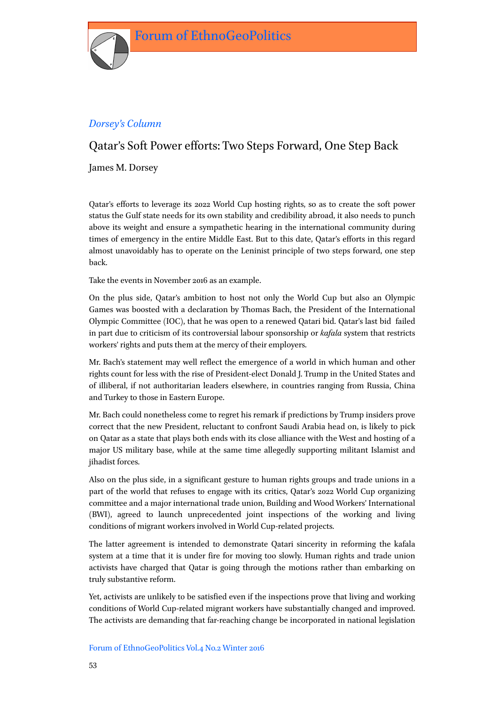

### *Dorsey's Column*

## Qatar's Soft Power efforts: Two Steps Forward, One Step Back

James M. Dorsey

Qatar's efforts to leverage its 2022 World Cup hosting rights, so as to create the soft power status the Gulf state needs for its own stability and credibility abroad, it also needs to punch above its weight and ensure a sympathetic hearing in the international community during times of emergency in the entire Middle East. But to this date, Qatar's efforts in this regard almost unavoidably has to operate on the Leninist principle of two steps forward, one step back.

Take the events in November 2016 as an example.

On the plus side, Qatar's ambition to host not only the World Cup but also an Olympic Games was boosted with a declaration by Thomas Bach, the President of the International Olympic Committee (IOC), that he was open to a renewed Qatari bid. Qatar's last bid failed in part due to criticism of its controversial labour sponsorship or *kafala* system that restricts workers' rights and puts them at the mercy of their employers.

Mr. Bach's statement may well reflect the emergence of a world in which human and other rights count for less with the rise of President-elect Donald J. Trump in the United States and of illiberal, if not authoritarian leaders elsewhere, in countries ranging from Russia, China and Turkey to those in Eastern Europe.

Mr. Bach could nonetheless come to regret his remark if predictions by Trump insiders prove correct that the new President, reluctant to confront Saudi Arabia head on, is likely to pick on Qatar as a state that plays both ends with its close alliance with the West and hosting of a major US military base, while at the same time allegedly supporting militant Islamist and jihadist forces.

Also on the plus side, in a significant gesture to human rights groups and trade unions in a part of the world that refuses to engage with its critics, Qatar's 2022 World Cup organizing committee and a major international trade union, Building and Wood Workers' International (BWI), agreed to launch unprecedented joint inspections of the working and living conditions of migrant workers involved in World Cup-related projects.

The latter agreement is intended to demonstrate Qatari sincerity in reforming the kafala system at a time that it is under fire for moving too slowly. Human rights and trade union activists have charged that Qatar is going through the motions rather than embarking on truly substantive reform.

Yet, activists are unlikely to be satisfied even if the inspections prove that living and working conditions of World Cup-related migrant workers have substantially changed and improved. The activists are demanding that far-reaching change be incorporated in national legislation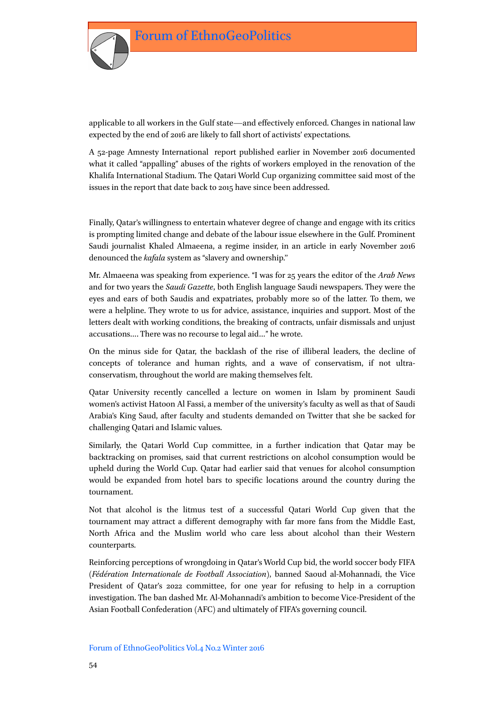

applicable to all workers in the Gulf state—and effectively enforced. Changes in national law expected by the end of 2016 are likely to fall short of activists' expectations.

A 52-page Amnesty International report published earlier in November 2016 documented what it called "appalling" abuses of the rights of workers employed in the renovation of the Khalifa International Stadium. The Qatari World Cup organizing committee said most of the issues in the report that date back to 2015 have since been addressed.

Finally, Qatar's willingness to entertain whatever degree of change and engage with its critics is prompting limited change and debate of the labour issue elsewhere in the Gulf. Prominent Saudi journalist Khaled Almaeena, a regime insider, in an article in early November 2016 denounced the *kafala* system as "slavery and ownership.''

Mr. Almaeena was speaking from experience. "I was for 25 years the editor of the *Arab News* and for two years the *Saudi Gazette*, both English language Saudi newspapers. They were the eyes and ears of both Saudis and expatriates, probably more so of the latter. To them, we were a helpline. They wrote to us for advice, assistance, inquiries and support. Most of the letters dealt with working conditions, the breaking of contracts, unfair dismissals and unjust accusations…. There was no recourse to legal aid…" he wrote.

On the minus side for Qatar, the backlash of the rise of illiberal leaders, the decline of concepts of tolerance and human rights, and a wave of conservatism, if not ultraconservatism, throughout the world are making themselves felt.

Qatar University recently cancelled a lecture on women in Islam by prominent Saudi women's activist Hatoon Al Fassi, a member of the university's faculty as well as that of Saudi Arabia's King Saud, after faculty and students demanded on Twitter that she be sacked for challenging Qatari and Islamic values.

Similarly, the Qatari World Cup committee, in a further indication that Qatar may be backtracking on promises, said that current restrictions on alcohol consumption would be upheld during the World Cup. Qatar had earlier said that venues for alcohol consumption would be expanded from hotel bars to specific locations around the country during the tournament.

Not that alcohol is the litmus test of a successful Qatari World Cup given that the tournament may attract a different demography with far more fans from the Middle East, North Africa and the Muslim world who care less about alcohol than their Western counterparts.

Reinforcing perceptions of wrongdoing in Qatar's World Cup bid, the world soccer body FIFA (*Fédération Internationale de Football Association*), banned Saoud al-Mohannadi, the Vice President of Qatar's 2022 committee, for one year for refusing to help in a corruption investigation. The ban dashed Mr. Al-Mohannadi's ambition to become Vice-President of the Asian Football Confederation (AFC) and ultimately of FIFA's governing council.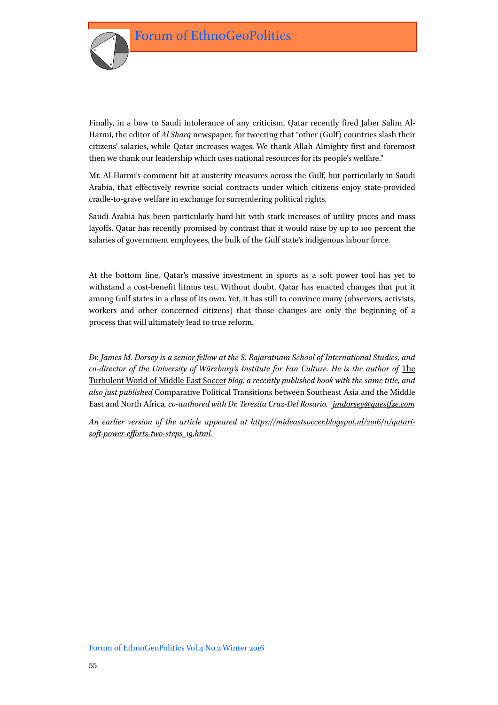

Finally, in a bow to Saudi intolerance of any criticism, Qatar recently fired Jaber Salim Al-Harmi, the editor of *Al Sharq* newspaper, for tweeting that "other (Gulf) countries slash their citizens' salaries, while Qatar increases wages. We thank Allah Almighty first and foremost then we thank our leadership which uses national resources for its people's welfare."

Mr. Al-Harmi's comment hit at austerity measures across the Gulf, but particularly in Saudi Arabia, that effectively rewrite social contracts under which citizens enjoy state-provided cradle-to-grave welfare in exchange for surrendering political rights.

Saudi Arabia has been particularly hard-hit with stark increases of utility prices and mass layoffs. Qatar has recently promised by contrast that it would raise by up to 100 percent the salaries of government employees, the bulk of the Gulf state's indigenous labour force.

At the bottom line, Qatar's massive investment in sports as a soft power tool has yet to withstand a cost-benefit litmus test. Without doubt, Qatar has enacted changes that put it among Gulf states in a class of its own. Yet, it has still to convince many (observers, activists, workers and other concerned citizens) that those changes are only the beginning of a process that will ultimately lead to true reform.

*Dr. James M. Dorsey is a senior fellow at the S. Rajaratnam School of International Studies, and co-director of the University of Würzburg's Institute for Fan Culture. He is the author of* [The](http://mideastsoccer.blogspot.com/%22%20%5Ct%20%22_blank) [Turbulent](http://mideastsoccer.blogspot.com/%22%20%5Ct%20%22_blank) World of Middle East Soccer *blog, a recently [published](http://www.hurstpublishers.com/book/the-turbulent-world-of-middle-east-soccer/%22%20%5Ct%20%22_blank) book with the same title, and also just published* Comparative Political Transitions between Southeast Asia and the Middle East and North Africa*, co-authored with Dr. Teresita Cruz-Del Rosario. [jmdorsey@questfze.com](mailto:jmdorsey@questfze.com)*

*An earlier version of the article appeared at [https://mideastsoccer.blogspot.nl/2016/11/qatari](https://mideastsoccer.blogspot.nl/2016/11/qatari-soft-power-efforts-two-steps_19.html%5D)[soft-power-efforts-two-steps\\_19.html.](https://mideastsoccer.blogspot.nl/2016/11/qatari-soft-power-efforts-two-steps_19.html%5D)*